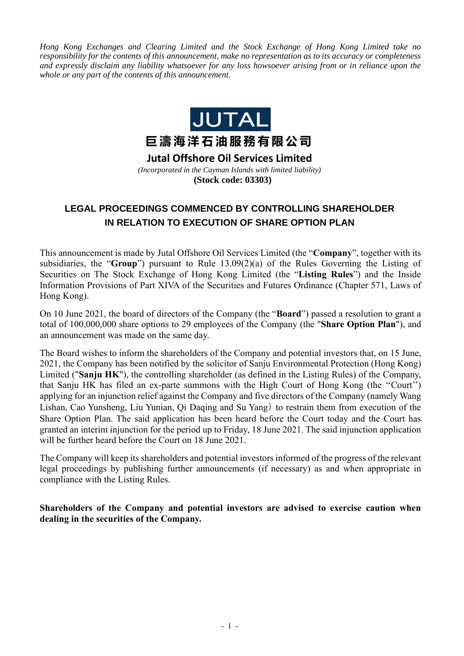*Hong Kong Exchanges and Clearing Limited and the Stock Exchange of Hong Kong Limited take no responsibility for the contents of this announcement, make no representation as to its accuracy or completeness and expressly disclaim any liability whatsoever for any loss howsoever arising from or in reliance upon the whole or any part of the contents of this announcement.*



**Jutal Offshore Oil Services Limited** *(Incorporated in the Cayman Islands with limited liability)* **(Stock code: 03303)**

## **LEGAL PROCEEDINGS COMMENCED BY CONTROLLING SHAREHOLDER IN RELATION TO EXECUTION OF SHARE OPTION PLAN**

This announcement is made by Jutal Offshore Oil Services Limited (the "**Company**", together with its subsidiaries, the "**Group**") pursuant to Rule 13.09(2)(a) of the Rules Governing the Listing of Securities on The Stock Exchange of Hong Kong Limited (the "**Listing Rules**") and the Inside Information Provisions of Part XIVA of the Securities and Futures Ordinance (Chapter 571, Laws of Hong Kong).

On 10 June 2021, the board of directors of the Company (the "**Board**") passed a resolution to grant a total of 100,000,000 share options to 29 employees of the Company (the "**Share Option Plan**"), and an announcement was made on the same day.

The Board wishes to inform the shareholders of the Company and potential investors that, on 15 June, 2021, the Company has been notified by the solicitor of Sanju Environmental Protection (Hong Kong) Limited ("**Sanju HK**"), the controlling shareholder (as defined in the Listing Rules) of the Company, that Sanju HK has filed an ex-parte summons with the High Court of Hong Kong (the ''Court'') applying for an injunction relief against the Company and five directors of the Company (namely Wang Lishan, Cao Yunsheng, Liu Yunian, Qi Daqing and Su Yang) to restrain them from execution of the Share Option Plan. The said application has been heard before the Court today and the Court has granted an interim injunction for the period up to Friday, 18 June 2021. The said injunction application will be further heard before the Court on 18 June 2021.

The Company will keep its shareholders and potential investors informed of the progress of the relevant legal proceedings by publishing further announcements (if necessary) as and when appropriate in compliance with the Listing Rules.

**Shareholders of the Company and potential investors are advised to exercise caution when dealing in the securities of the Company.**